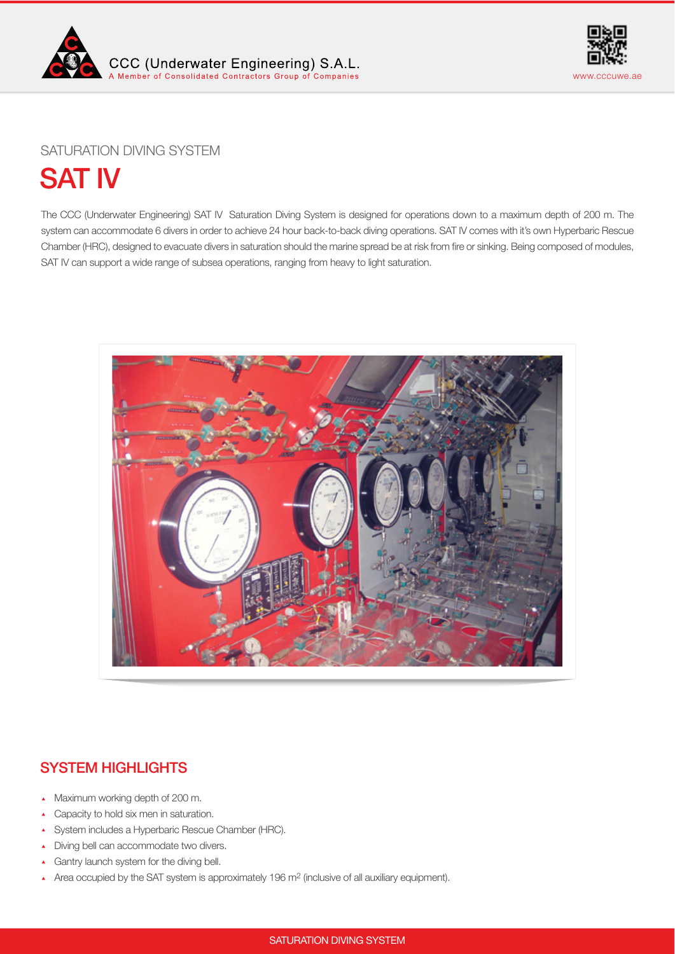



# SATURATION DIVING SYSTEM

SAT IV

The CCC (Underwater Engineering) SAT IV Saturation Diving System is designed for operations down to a maximum depth of 200 m. The system can accommodate 6 divers in order to achieve 24 hour back-to-back diving operations. SAT IV comes with it's own Hyperbaric Rescue Chamber (HRC), designed to evacuate divers in saturation should the marine spread be at risk from fre or sinking. Being composed of modules, SAT IV can support a wide range of subsea operations, ranging from heavy to light saturation.



# SYSTEM HIGHLIGHTS

- Maximum working depth of 200 m.
- Capacity to hold six men in saturation.
- System includes a Hyperbaric Rescue Chamber (HRC).
- Diving bell can accommodate two divers.
- Gantry launch system for the diving bell.
- Area occupied by the SAT system is approximately 196 m<sup>2</sup> (inclusive of all auxiliary equipment).